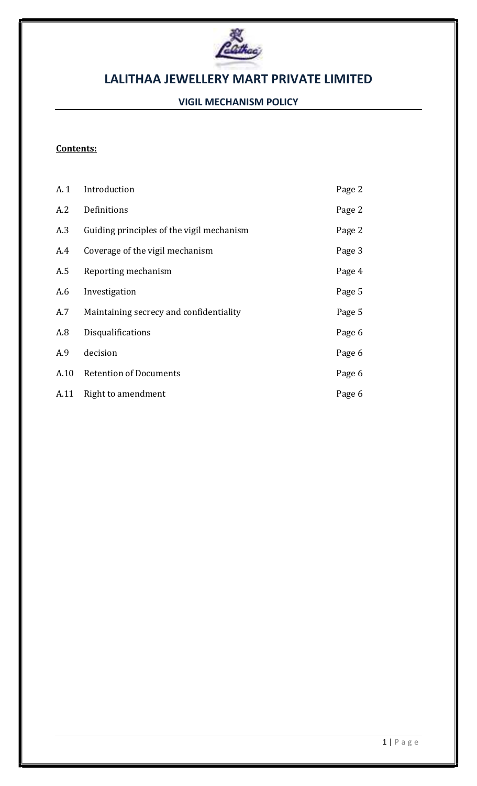

# VIGIL MECHANISM POLICY

# Contents:

| A. 1 | Introduction                              | Page 2 |
|------|-------------------------------------------|--------|
| A.2  | Definitions                               | Page 2 |
| A.3  | Guiding principles of the vigil mechanism | Page 2 |
| A.4  | Coverage of the vigil mechanism           | Page 3 |
| A.5  | Reporting mechanism                       | Page 4 |
| A.6  | Investigation                             | Page 5 |
| A.7  | Maintaining secrecy and confidentiality   | Page 5 |
| A.8  | Disqualifications                         | Page 6 |
| A.9  | decision                                  | Page 6 |
| A.10 | <b>Retention of Documents</b>             | Page 6 |
| A.11 | Right to amendment                        | Page 6 |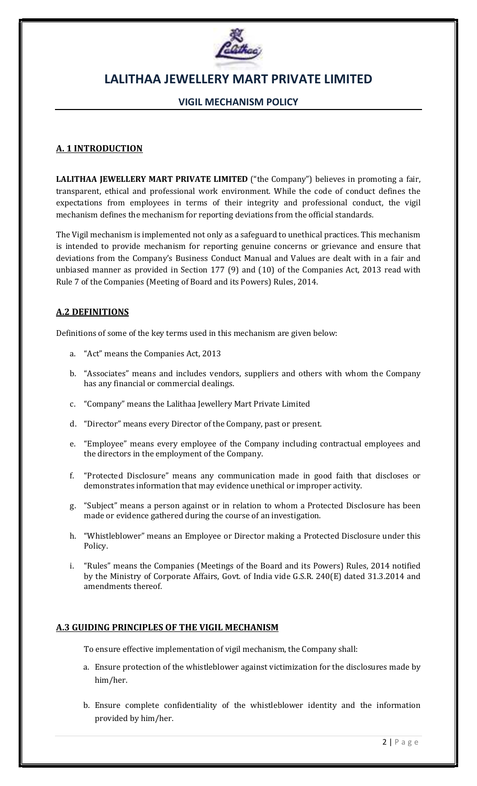

## VIGIL MECHANISM POLICY

## A. 1 INTRODUCTION

LALITHAA JEWELLERY MART PRIVATE LIMITED ("the Company") believes in promoting a fair, transparent, ethical and professional work environment. While the code of conduct defines the expectations from employees in terms of their integrity and professional conduct, the vigil mechanism defines the mechanism for reporting deviations from the official standards.

The Vigil mechanism is implemented not only as a safeguard to unethical practices. This mechanism is intended to provide mechanism for reporting genuine concerns or grievance and ensure that deviations from the Company's Business Conduct Manual and Values are dealt with in a fair and unbiased manner as provided in Section 177 (9) and (10) of the Companies Act, 2013 read with Rule 7 of the Companies (Meeting of Board and its Powers) Rules, 2014.

### A.2 DEFINITIONS

Definitions of some of the key terms used in this mechanism are given below:

- a. "Act" means the Companies Act, 2013
- b. "Associates" means and includes vendors, suppliers and others with whom the Company has any financial or commercial dealings.
- c. "Company" means the Lalithaa Jewellery Mart Private Limited
- d. "Director" means every Director of the Company, past or present.
- e. "Employee" means every employee of the Company including contractual employees and the directors in the employment of the Company.
- f. "Protected Disclosure" means any communication made in good faith that discloses or demonstrates information that may evidence unethical or improper activity.
- g. "Subject" means a person against or in relation to whom a Protected Disclosure has been made or evidence gathered during the course of an investigation.
- h. "Whistleblower" means an Employee or Director making a Protected Disclosure under this Policy.
- i. "Rules" means the Companies (Meetings of the Board and its Powers) Rules, 2014 notified by the Ministry of Corporate Affairs, Govt. of India vide G.S.R. 240(E) dated 31.3.2014 and amendments thereof.

#### A.3 GUIDING PRINCIPLES OF THE VIGIL MECHANISM

To ensure effective implementation of vigil mechanism, the Company shall:

- a. Ensure protection of the whistleblower against victimization for the disclosures made by him/her.
- b. Ensure complete confidentiality of the whistleblower identity and the information provided by him/her.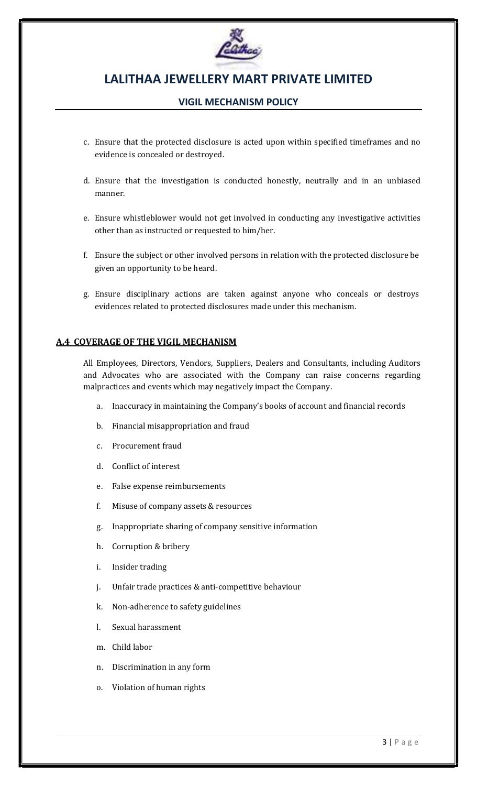

## VIGIL MECHANISM POLICY

- c. Ensure that the protected disclosure is acted upon within specified timeframes and no evidence is concealed or destroyed.
- d. Ensure that the investigation is conducted honestly, neutrally and in an unbiased manner.
- e. Ensure whistleblower would not get involved in conducting any investigative activities other than as instructed or requested to him/her.
- f. Ensure the subject or other involved persons in relation with the protected disclosure be given an opportunity to be heard.
- g. Ensure disciplinary actions are taken against anyone who conceals or destroys evidences related to protected disclosures made under this mechanism.

### A.4 COVERAGE OF THE VIGIL MECHANISM

All Employees, Directors, Vendors, Suppliers, Dealers and Consultants, including Auditors and Advocates who are associated with the Company can raise concerns regarding malpractices and events which may negatively impact the Company.

- a. Inaccuracy in maintaining the Company's books of account and financial records
- b. Financial misappropriation and fraud
- c. Procurement fraud
- d. Conflict of interest
- e. False expense reimbursements
- f. Misuse of company assets & resources
- g. Inappropriate sharing of company sensitive information
- h. Corruption & bribery
- i. Insider trading
- j. Unfair trade practices & anti-competitive behaviour
- k. Non-adherence to safety guidelines
- l. Sexual harassment
- m. Child labor
- n. Discrimination in any form
- o. Violation of human rights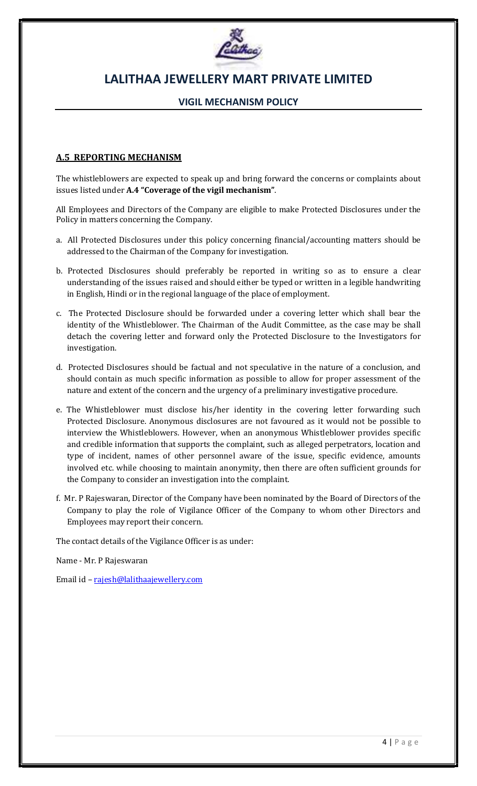

## VIGIL MECHANISM POLICY

### A.5 REPORTING MECHANISM

The whistleblowers are expected to speak up and bring forward the concerns or complaints about issues listed under A.4 "Coverage of the vigil mechanism".

All Employees and Directors of the Company are eligible to make Protected Disclosures under the Policy in matters concerning the Company.

- a. All Protected Disclosures under this policy concerning financial/accounting matters should be addressed to the Chairman of the Company for investigation.
- b. Protected Disclosures should preferably be reported in writing so as to ensure a clear understanding of the issues raised and should either be typed or written in a legible handwriting in English, Hindi or in the regional language of the place of employment.
- c. The Protected Disclosure should be forwarded under a covering letter which shall bear the identity of the Whistleblower. The Chairman of the Audit Committee, as the case may be shall detach the covering letter and forward only the Protected Disclosure to the Investigators for investigation.
- d. Protected Disclosures should be factual and not speculative in the nature of a conclusion, and should contain as much specific information as possible to allow for proper assessment of the nature and extent of the concern and the urgency of a preliminary investigative procedure.
- e. The Whistleblower must disclose his/her identity in the covering letter forwarding such Protected Disclosure. Anonymous disclosures are not favoured as it would not be possible to interview the Whistleblowers. However, when an anonymous Whistleblower provides specific and credible information that supports the complaint, such as alleged perpetrators, location and type of incident, names of other personnel aware of the issue, specific evidence, amounts involved etc. while choosing to maintain anonymity, then there are often sufficient grounds for the Company to consider an investigation into the complaint.
- f. Mr. P Rajeswaran, Director of the Company have been nominated by the Board of Directors of the Company to play the role of Vigilance Officer of the Company to whom other Directors and Employees may report their concern.

The contact details of the Vigilance Officer is as under:

Name - Mr. P Rajeswaran

Email id – rajesh@lalithaajewellery.com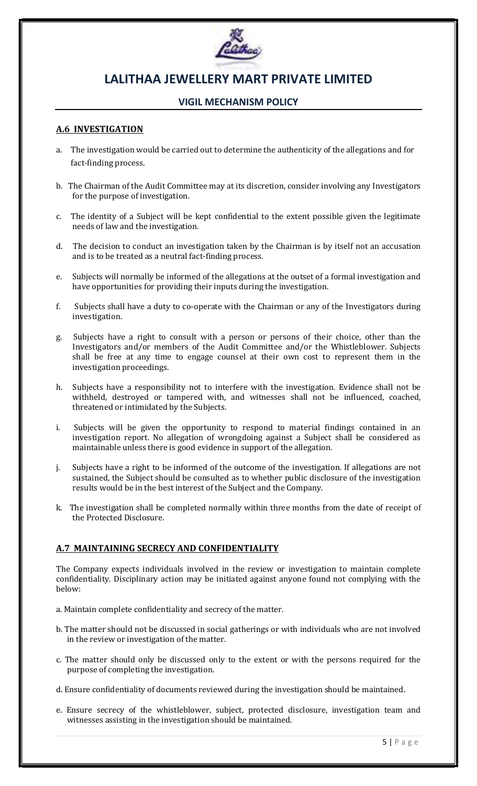

# VIGIL MECHANISM POLICY

### A.6 INVESTIGATION

- a. The investigation would be carried out to determine the authenticity of the allegations and for fact-finding process.
- b. The Chairman of the Audit Committee may at its discretion, consider involving any Investigators for the purpose of investigation.
- c. The identity of a Subject will be kept confidential to the extent possible given the legitimate needs of law and the investigation.
- d. The decision to conduct an investigation taken by the Chairman is by itself not an accusation and is to be treated as a neutral fact-finding process.
- e. Subjects will normally be informed of the allegations at the outset of a formal investigation and have opportunities for providing their inputs during the investigation.
- f. Subjects shall have a duty to co-operate with the Chairman or any of the Investigators during investigation.
- g. Subjects have a right to consult with a person or persons of their choice, other than the Investigators and/or members of the Audit Committee and/or the Whistleblower. Subjects shall be free at any time to engage counsel at their own cost to represent them in the investigation proceedings.
- h. Subjects have a responsibility not to interfere with the investigation. Evidence shall not be withheld, destroyed or tampered with, and witnesses shall not be influenced, coached, threatened or intimidated by the Subjects.
- i. Subjects will be given the opportunity to respond to material findings contained in an investigation report. No allegation of wrongdoing against a Subject shall be considered as maintainable unless there is good evidence in support of the allegation.
- j. Subjects have a right to be informed of the outcome of the investigation. If allegations are not sustained, the Subject should be consulted as to whether public disclosure of the investigation results would be in the best interest of the Subject and the Company.
- k. The investigation shall be completed normally within three months from the date of receipt of the Protected Disclosure.

### A.7 MAINTAINING SECRECY AND CONFIDENTIALITY

The Company expects individuals involved in the review or investigation to maintain complete confidentiality. Disciplinary action may be initiated against anyone found not complying with the below:

- a. Maintain complete confidentiality and secrecy of the matter.
- b. The matter should not be discussed in social gatherings or with individuals who are not involved in the review or investigation of the matter.
- c. The matter should only be discussed only to the extent or with the persons required for the purpose of completing the investigation.
- d. Ensure confidentiality of documents reviewed during the investigation should be maintained.
- e. Ensure secrecy of the whistleblower, subject, protected disclosure, investigation team and witnesses assisting in the investigation should be maintained.